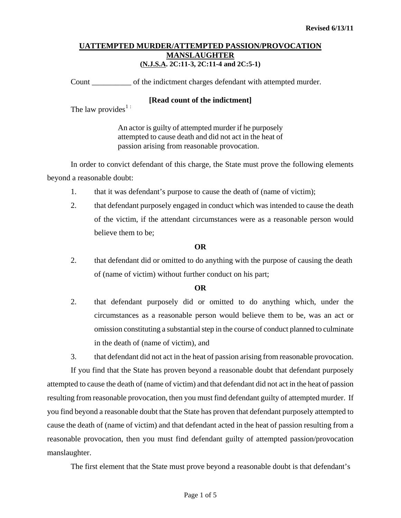Count \_\_\_\_\_\_\_\_\_\_ of the indictment charges defendant with attempted murder.

#### **[Read count of the indictment]**

The law provides<sup>[1](#page-0-0):</sup>

An actor is guilty of attempted murder if he purposely attempted to cause death and did not act in the heat of passion arising from reasonable provocation.

In order to convict defendant of this charge, the State must prove the following elements beyond a reasonable doubt:

- 1. that it was defendant's purpose to cause the death of (name of victim);
- 2. that defendant purposely engaged in conduct which was intended to cause the death of the victim, if the attendant circumstances were as a reasonable person would believe them to be;

#### **OR**

2. that defendant did or omitted to do anything with the purpose of causing the death of (name of victim) without further conduct on his part;

#### **OR**

2. that defendant purposely did or omitted to do anything which, under the circumstances as a reasonable person would believe them to be, was an act or omission constituting a substantial step in the course of conduct planned to culminate in the death of (name of victim), and

3. that defendant did not act in the heat of passion arising from reasonable provocation.

If you find that the State has proven beyond a reasonable doubt that defendant purposely attempted to cause the death of (name of victim) and that defendant did not act in the heat of passion resulting from reasonable provocation, then you must find defendant guilty of attempted murder. If you find beyond a reasonable doubt that the State has proven that defendant purposely attempted to cause the death of (name of victim) and that defendant acted in the heat of passion resulting from a reasonable provocation, then you must find defendant guilty of attempted passion/provocation manslaughter.

<span id="page-0-0"></span>The first element that the State must prove beyond a reasonable doubt is that defendant's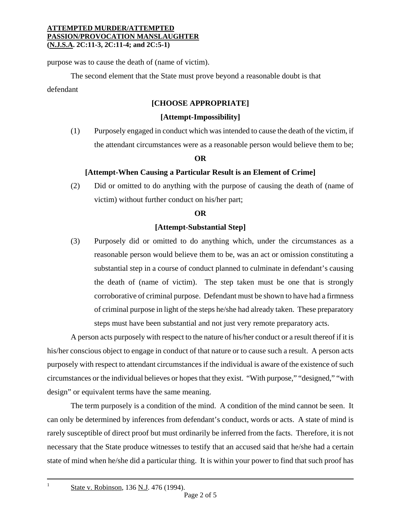purpose was to cause the death of (name of victim).

The second element that the State must prove beyond a reasonable doubt is that defendant

## **[CHOOSE APPROPRIATE]**

### **[Attempt-Impossibility]**

(1) Purposely engaged in conduct which was intended to cause the death of the victim, if the attendant circumstances were as a reasonable person would believe them to be;

#### **OR**

#### **[Attempt-When Causing a Particular Result is an Element of Crime]**

(2) Did or omitted to do anything with the purpose of causing the death of (name of victim) without further conduct on his/her part;

#### **OR**

### **[Attempt-Substantial Step]**

(3) Purposely did or omitted to do anything which, under the circumstances as a reasonable person would believe them to be, was an act or omission constituting a substantial step in a course of conduct planned to culminate in defendant's causing the death of (name of victim). The step taken must be one that is strongly corroborative of criminal purpose. Defendant must be shown to have had a firmness of criminal purpose in light of the steps he/she had already taken. These preparatory steps must have been substantial and not just very remote preparatory acts.

A person acts purposely with respect to the nature of his/her conduct or a result thereof if it is his/her conscious object to engage in conduct of that nature or to cause such a result. A person acts purposely with respect to attendant circumstances if the individual is aware of the existence of such circumstances or the individual believes or hopes that they exist. "With purpose," "designed," "with design" or equivalent terms have the same meaning.

The term purposely is a condition of the mind. A condition of the mind cannot be seen. It can only be determined by inferences from defendant's conduct, words or acts. A state of mind is rarely susceptible of direct proof but must ordinarily be inferred from the facts. Therefore, it is not necessary that the State produce witnesses to testify that an accused said that he/she had a certain state of mind when he/she did a particular thing. It is within your power to find that such proof has

 $\,1$ 

State v. Robinson, 136 N.J. 476 (1994).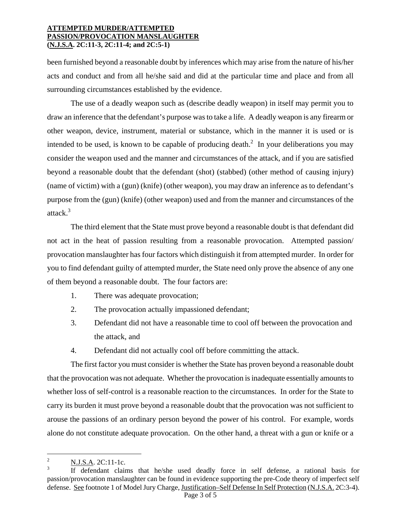been furnished beyond a reasonable doubt by inferences which may arise from the nature of his/her acts and conduct and from all he/she said and did at the particular time and place and from all surrounding circumstances established by the evidence.

The use of a deadly weapon such as (describe deadly weapon) in itself may permit you to draw an inference that the defendant's purpose was to take a life. A deadly weapon is any firearm or other weapon, device, instrument, material or substance, which in the manner it is used or is intended to be used, is known to be capable of producing death.<sup>2</sup> In your deliberations you may consider the weapon used and the manner and circumstances of the attack, and if you are satisfied beyond a reasonable doubt that the defendant (shot) (stabbed) (other method of causing injury) (name of victim) with a (gun) (knife) (other weapon), you may draw an inference as to defendant's purpose from the (gun) (knife) (other weapon) used and from the manner and circumstances of the attack.<sup>3</sup>

The third element that the State must prove beyond a reasonable doubt is that defendant did not act in the heat of passion resulting from a reasonable provocation. Attempted passion/ provocation manslaughter has four factors which distinguish it from attempted murder. In order for you to find defendant guilty of attempted murder, the State need only prove the absence of any one of them beyond a reasonable doubt. The four factors are:

- 1. There was adequate provocation;
- 2. The provocation actually impassioned defendant;
- 3. Defendant did not have a reasonable time to cool off between the provocation and the attack, and
- 4. Defendant did not actually cool off before committing the attack.

The first factor you must consider is whether the State has proven beyond a reasonable doubt that the provocation was not adequate. Whether the provocation is inadequate essentially amounts to whether loss of self-control is a reasonable reaction to the circumstances. In order for the State to carry its burden it must prove beyond a reasonable doubt that the provocation was not sufficient to arouse the passions of an ordinary person beyond the power of his control. For example, words alone do not constitute adequate provocation. On the other hand, a threat with a gun or knife or a

i<br>Li

<sup>2</sup> N.J.S.A. 2C:11-1c.

<sup>3</sup> If defendant claims that he/she used deadly force in self defense, a rational basis for passion/provocation manslaughter can be found in evidence supporting the pre-Code theory of imperfect self defense. See footnote 1 of Model Jury Charge, Justification–Self Defense In Self Protection (N.J.S.A. 2C:3-4).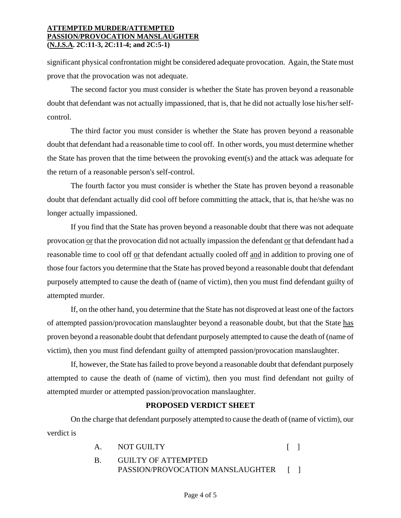significant physical confrontation might be considered adequate provocation. Again, the State must prove that the provocation was not adequate.

The second factor you must consider is whether the State has proven beyond a reasonable doubt that defendant was not actually impassioned, that is, that he did not actually lose his/her selfcontrol.

The third factor you must consider is whether the State has proven beyond a reasonable doubt that defendant had a reasonable time to cool off. In other words, you must determine whether the State has proven that the time between the provoking event(s) and the attack was adequate for the return of a reasonable person's self-control.

The fourth factor you must consider is whether the State has proven beyond a reasonable doubt that defendant actually did cool off before committing the attack, that is, that he/she was no longer actually impassioned.

If you find that the State has proven beyond a reasonable doubt that there was not adequate provocation or that the provocation did not actually impassion the defendant or that defendant had a reasonable time to cool off or that defendant actually cooled off and in addition to proving one of those four factors you determine that the State has proved beyond a reasonable doubt that defendant purposely attempted to cause the death of (name of victim), then you must find defendant guilty of attempted murder.

If, on the other hand, you determine that the State has not disproved at least one of the factors of attempted passion/provocation manslaughter beyond a reasonable doubt, but that the State has proven beyond a reasonable doubt that defendant purposely attempted to cause the death of (name of victim), then you must find defendant guilty of attempted passion/provocation manslaughter.

If, however, the State has failed to prove beyond a reasonable doubt that defendant purposely attempted to cause the death of (name of victim), then you must find defendant not guilty of attempted murder or attempted passion/provocation manslaughter.

## **PROPOSED VERDICT SHEET**

On the charge that defendant purposely attempted to cause the death of (name of victim), our verdict is

| Α.                       | <b>NOT GUILTY</b> |  |
|--------------------------|-------------------|--|
| $\overline{\phantom{a}}$ |                   |  |

 B. GUILTY OF ATTEMPTED PASSION/PROVOCATION MANSLAUGHTER [ ]